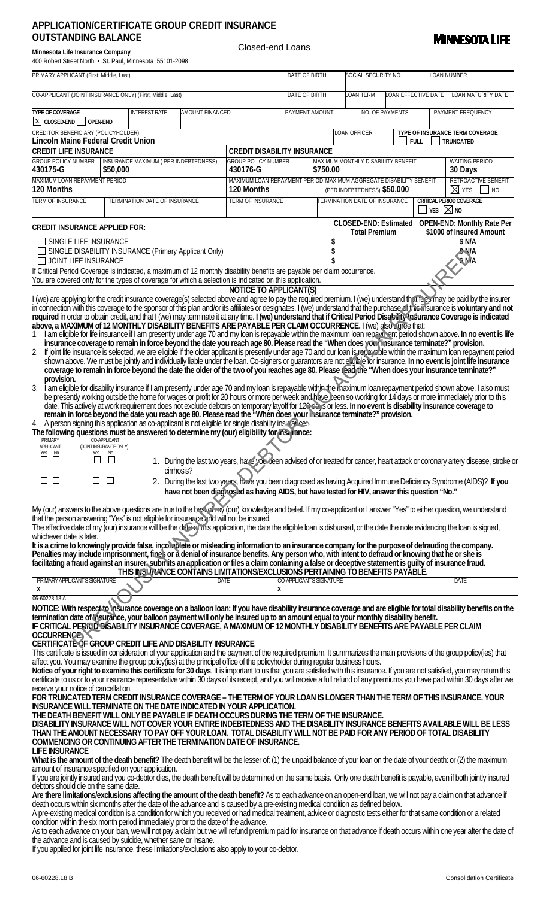## **APPLICATION/CERTIFICATE GROUP CREDIT INSURANCE OUTSTANDING BALANCE**

| <b>MINNESOTA LIFE</b> |
|-----------------------|
|-----------------------|

| Minnesota Life Insurance Company                         |  |  |  |  |  |  |  |  |  |  |
|----------------------------------------------------------|--|--|--|--|--|--|--|--|--|--|
| AOO Robert Street North • St. Paul Minnesota, 55101,2008 |  |  |  |  |  |  |  |  |  |  |

Closed-end Loans

| 400 Robert Street North · St. Paul, Minnesota 55101-2098                                                                                                                                                                                                                                                                                                                                                                                                                                                                                                                                                                                                                                                                                                                                                                                                                                                                                                                                                                                                                       |                                                  |  |                                                                                                                                                                                                                                                                                  |                                                                                                                                                       |                                      |  |                            |                                      |                    |                                                                                                                                                                      |  |
|--------------------------------------------------------------------------------------------------------------------------------------------------------------------------------------------------------------------------------------------------------------------------------------------------------------------------------------------------------------------------------------------------------------------------------------------------------------------------------------------------------------------------------------------------------------------------------------------------------------------------------------------------------------------------------------------------------------------------------------------------------------------------------------------------------------------------------------------------------------------------------------------------------------------------------------------------------------------------------------------------------------------------------------------------------------------------------|--------------------------------------------------|--|----------------------------------------------------------------------------------------------------------------------------------------------------------------------------------------------------------------------------------------------------------------------------------|-------------------------------------------------------------------------------------------------------------------------------------------------------|--------------------------------------|--|----------------------------|--------------------------------------|--------------------|----------------------------------------------------------------------------------------------------------------------------------------------------------------------|--|
| PRIMARY APPLICANT (First, Middle, Last)                                                                                                                                                                                                                                                                                                                                                                                                                                                                                                                                                                                                                                                                                                                                                                                                                                                                                                                                                                                                                                        |                                                  |  |                                                                                                                                                                                                                                                                                  |                                                                                                                                                       | DATE OF BIRTH                        |  | SOCIAL SECURITY NO.        |                                      |                    | <b>LOAN NUMBER</b>                                                                                                                                                   |  |
| CO-APPLICANT (JOINT INSURANCE ONLY) (First, Middle, Last)                                                                                                                                                                                                                                                                                                                                                                                                                                                                                                                                                                                                                                                                                                                                                                                                                                                                                                                                                                                                                      |                                                  |  |                                                                                                                                                                                                                                                                                  |                                                                                                                                                       | DATE OF BIRTH                        |  | <b>LOAN EFFECTIVE DATE</b> |                                      | LOAN MATURITY DATE |                                                                                                                                                                      |  |
| <b>TYPE OF COVERAGE</b><br>$\boxed{\text{X}}$ CLOSED-END OPEN-END                                                                                                                                                                                                                                                                                                                                                                                                                                                                                                                                                                                                                                                                                                                                                                                                                                                                                                                                                                                                              | <b>INTEREST RATE</b><br><b>AMOUNT FINANCED</b>   |  |                                                                                                                                                                                                                                                                                  | PAYMENT AMOUNT                                                                                                                                        |                                      |  |                            | NO. OF PAYMENTS                      |                    | PAYMENT FREQUENCY                                                                                                                                                    |  |
| CREDITOR BENEFICIARY (POLICYHOLDER)<br><b>Lincoln Maine Federal Credit Union</b>                                                                                                                                                                                                                                                                                                                                                                                                                                                                                                                                                                                                                                                                                                                                                                                                                                                                                                                                                                                               |                                                  |  |                                                                                                                                                                                                                                                                                  |                                                                                                                                                       |                                      |  | LOAN OFFICER               | <b>FULL</b>                          |                    | TYPE OF INSURANCE TERM COVERAGE<br>TRUNCATED                                                                                                                         |  |
| <b>CREDIT LIFE INSURANCE</b>                                                                                                                                                                                                                                                                                                                                                                                                                                                                                                                                                                                                                                                                                                                                                                                                                                                                                                                                                                                                                                                   |                                                  |  |                                                                                                                                                                                                                                                                                  | <b>CREDIT DISABILITY INSURANCE</b>                                                                                                                    |                                      |  |                            |                                      |                    |                                                                                                                                                                      |  |
| INSURANCE MAXIMUM (PER INDEBTEDNESS)<br><b>GROUP POLICY NUMBER</b><br>\$50,000<br>430175-G                                                                                                                                                                                                                                                                                                                                                                                                                                                                                                                                                                                                                                                                                                                                                                                                                                                                                                                                                                                     |                                                  |  | 430176-G                                                                                                                                                                                                                                                                         | <b>GROUP POLICY NUMBER</b><br>MAXIMUM MONTHLY DISABILITY BENEFIT<br>WAITING PERIOD<br>\$750.00<br>30 Days                                             |                                      |  |                            |                                      |                    |                                                                                                                                                                      |  |
| MAXIMUM LOAN REPAYMENT PERIOD<br>120 Months                                                                                                                                                                                                                                                                                                                                                                                                                                                                                                                                                                                                                                                                                                                                                                                                                                                                                                                                                                                                                                    |                                                  |  | 120 Months                                                                                                                                                                                                                                                                       | RETROACTIVE BENEFIT<br>MAXIMUM LOAN REPAYMENT PERIOD MAXIMUM AGGREGATE DISABILITY BENEFIT<br>$\boxtimes$ yes $\Box$ no<br>(PER INDEBTEDNESS) \$50,000 |                                      |  |                            |                                      |                    |                                                                                                                                                                      |  |
| <b>TERM OF INSURANCE</b>                                                                                                                                                                                                                                                                                                                                                                                                                                                                                                                                                                                                                                                                                                                                                                                                                                                                                                                                                                                                                                                       | TERMINATION DATE OF INSURANCE                    |  |                                                                                                                                                                                                                                                                                  |                                                                                                                                                       | <b>TERM OF INSURANCE</b>             |  |                            | <b>TERMINATION DATE OF INSURANCE</b> |                    | <b>CRITICAL PERIOD COVERAGE</b><br>$\overline{\times}$ Yes $\overline{\boxtimes}$ No                                                                                 |  |
| <b>CREDIT INSURANCE APPLIED FOR:</b>                                                                                                                                                                                                                                                                                                                                                                                                                                                                                                                                                                                                                                                                                                                                                                                                                                                                                                                                                                                                                                           |                                                  |  |                                                                                                                                                                                                                                                                                  |                                                                                                                                                       |                                      |  |                            |                                      |                    | CLOSED-END: Estimated OPEN-END: Monthly Rate Per<br>\$1000 of Insured Amount                                                                                         |  |
| SINGLE LIFE INSURANCE<br>SINGLE DISABILITY INSURANCE (Primary Applicant Only)<br>JOINT LIFE INSURANCE<br>If Critical Period Coverage is indicated, a maximum of 12 monthly disability benefits are payable per claim occurrence.                                                                                                                                                                                                                                                                                                                                                                                                                                                                                                                                                                                                                                                                                                                                                                                                                                               |                                                  |  |                                                                                                                                                                                                                                                                                  |                                                                                                                                                       | <b>Total Premium</b>                 |  |                            |                                      |                    | \$ N/A<br>\$∙MA<br>\$N/A                                                                                                                                             |  |
| You are covered only for the types of coverage for which a selection is indicated on this application.                                                                                                                                                                                                                                                                                                                                                                                                                                                                                                                                                                                                                                                                                                                                                                                                                                                                                                                                                                         |                                                  |  |                                                                                                                                                                                                                                                                                  | <b>NOTICE TO APPLICANT(S)</b>                                                                                                                         |                                      |  |                            |                                      |                    |                                                                                                                                                                      |  |
| I (we) are applying for the credit insurance coverage(s) selected above and agree to pay the required premium. I (we) understand that reas may be paid by the insurer<br>in connection with this coverage to the sponsor of this plan and/or its affiliates or designates. I (we) understand that the purchase of this insurance is voluntary and not<br>required in order to obtain credit, and that I (we) may terminate it at any time. I (we) understand that if Critical Period Disability Insurance Coverage is indicated<br>above, a MAXIMUM of 12 MONTHLY DISABILITY BENEFITS ARE PAYABLE PER CLAIM OCCURRENCE. I (we) also coree that:<br>1. I am eligible for life insurance if I am presently under age 70 and my loan is repayable within the maximum loan repayment period shown above. In no event is life insurance coverage to remain in force beyond the date yo<br>2. If joint life insurance is selected, we are eligible if the older applicant is presently under age 70 and our loan is repayable within the maximum loan repayment period<br>provision. |                                                  |  | coverage to remain in force beyond the date the older of the two of you reaches age 80. Please read the "When does your insurance terminate?"                                                                                                                                    |                                                                                                                                                       |                                      |  |                            |                                      |                    | shown above. We must be jointly and individually liable under the loan. Co-signers or guarantors are not eligible for insurance. In no event is joint life insurance |  |
| 3. I am eligible for disability insurance if I am presently under age 70 and my loan is repayable within the maximum loan repayment period shown above. I also must<br>4. A person signing this application as co-applicant is not eligible for single disability insular cen-<br>The following questions must be answered to determine my (our) eligibility for insurance:<br><b>PRIMARY</b><br>APPLICANT<br>Yes No                                                                                                                                                                                                                                                                                                                                                                                                                                                                                                                                                                                                                                                           | CO-APPLICANT<br>(JOINT INSURANCE ONLY)<br>Yes No |  | date. This actively at work requirement does not exclude debtors on temporary layoff for 129 days or less. In no event is disability insurance coverage to<br>remain in force beyond the date you reach age 80. Please read the "When does your insurance terminate?" provision. |                                                                                                                                                       |                                      |  |                            |                                      |                    | be presently working outside the home for wages or profit for 20 hours or more per week and have been so working for 14 days or more immediately prior to this       |  |
| $\Box$ $\Box$                                                                                                                                                                                                                                                                                                                                                                                                                                                                                                                                                                                                                                                                                                                                                                                                                                                                                                                                                                                                                                                                  | П.<br>$\Box$                                     |  | cirrhosis?                                                                                                                                                                                                                                                                       |                                                                                                                                                       |                                      |  |                            |                                      |                    | 1. During the last two years, have you been advised of or treated for cancer, heart attack or coronary artery disease, stroke or                                     |  |
| □□<br>$\Box$<br>$\Box$<br>2. During the last two years, have you been diagnosed as having Acquired Immune Deficiency Syndrome (AIDS)? If you<br>have not been diagnosed as having AIDS, but have tested for HIV, answer this question "No."                                                                                                                                                                                                                                                                                                                                                                                                                                                                                                                                                                                                                                                                                                                                                                                                                                    |                                                  |  |                                                                                                                                                                                                                                                                                  |                                                                                                                                                       |                                      |  |                            |                                      |                    |                                                                                                                                                                      |  |
| My (our) answers to the above questions are true to the besing my (our) knowledge and belief. If my co-applicant or I answer "Yes" to either question, we understand<br>that the person answering "Yes" is not eligible for insurance and will not be insured.<br>The effective date of my (our) insurance will be the date of this application, the date the eligible loan is disbursed, or the date the note evidencing the loan is signed,<br>whichever date is later.                                                                                                                                                                                                                                                                                                                                                                                                                                                                                                                                                                                                      |                                                  |  |                                                                                                                                                                                                                                                                                  |                                                                                                                                                       |                                      |  |                            |                                      |                    |                                                                                                                                                                      |  |
| It is a crime to knowingly provide false, incomplete or misleading information to an insurance company for the purpose of defrauding the company.<br>Penalties may include imprisonment, fines or a denial of insurance benefits. Any person who, with intent to defraud or knowing that he or she is<br>facilitating a fraud against an insurer, submits an application or files a claim containing a false or deceptive statement is guilty of insurance fraud.                                                                                                                                                                                                                                                                                                                                                                                                                                                                                                                                                                                                              |                                                  |  | THIS INSURANCE CONTAINS LIMITATIONS/EXCLUSIONS PERTAINING TO BENEFITS PAYABLE.                                                                                                                                                                                                   |                                                                                                                                                       |                                      |  |                            |                                      |                    |                                                                                                                                                                      |  |
| PRIMARY APPLICANT'S SIGNATURE<br>х                                                                                                                                                                                                                                                                                                                                                                                                                                                                                                                                                                                                                                                                                                                                                                                                                                                                                                                                                                                                                                             |                                                  |  | <b>DATE</b>                                                                                                                                                                                                                                                                      |                                                                                                                                                       | <b>CO-APPLICANT'S SIGNATURE</b><br>x |  |                            |                                      |                    | <b>DATE</b>                                                                                                                                                          |  |
| 06-60228.18 A<br>NOTICE: With respect to insurance coverage on a balloon loan: If you have disability insurance coverage and are eligible for total disability benefits on the<br>termination date of insurance, your balloon payment will only be insured up to an amount equal to your monthly disability benefit.<br>IF CRITICAL PERIOD DISABILITY INSURANCE COVERAGE, A MAXIMUM OF 12 MONTHLY DISABILITY BENEFITS ARE PAYABLE PER CLAIM<br><b>OCCURRENCE</b><br>CERTIFICATE OF GROUP CREDIT LIFE AND DISABILITY INSURANCE<br>This certificate is issued in consideration of your application and the payment of the required premium. It summarizes the main provisions of the group policy(ies) that<br>affect you. You may examine the group policy(ies) at the principal office of the policyholder during regular business hours.<br>Notice of your right to examine this certificate for 30 days. It is important to us that you are satisfied with this insurance. If you are not satisfied, you may return this                                                     |                                                  |  |                                                                                                                                                                                                                                                                                  |                                                                                                                                                       |                                      |  |                            |                                      |                    |                                                                                                                                                                      |  |
| certificate to us or to your insurance representative within 30 days of its receipt, and you will receive a full refund of any premiums you have paid within 30 days after we<br>receive your notice of cancellation.<br>FOR TRUNCATED TERM CREDIT INSURANCE COVERAGE – THE TERM OF YOUR LOAN IS LONGER THAN THE TERM OF THIS INSURANCE. YOUR<br><b>INSURANCE WILL TERMINATE ON THE DATE INDICATED IN YOUR APPLICATION.</b><br>THE DEATH BENEFIT WILL ONLY BE PAYABLE IF DEATH OCCURS DURING THE TERM OF THE INSURANCE.<br>DISABILITY INSURANCE WILL NOT COVER YOUR ENTIRE INDEBTEDNESS AND THE DISABILITY INSURANCE BENEFITS AVAILABLE WILL BE LESS<br>THAN THE AMOUNT NECESSARY TO PAY OFF YOUR LOAN. TOTAL DISABILITY WILL NOT BE PAID FOR ANY PERIOD OF TOTAL DISABILITY<br>COMMENCING OR CONTINUING AFTER THE TERMINATION DATE OF INSURANCE.<br><b>LIFE INSURANCE</b>                                                                                                                                                                                                     |                                                  |  |                                                                                                                                                                                                                                                                                  |                                                                                                                                                       |                                      |  |                            |                                      |                    |                                                                                                                                                                      |  |
| What is the amount of the death benefit? The death benefit will be the lesser of: (1) the unpaid balance of your loan on the date of your death: or (2) the maximum<br>amount of insurance specified on your application.                                                                                                                                                                                                                                                                                                                                                                                                                                                                                                                                                                                                                                                                                                                                                                                                                                                      |                                                  |  |                                                                                                                                                                                                                                                                                  |                                                                                                                                                       |                                      |  |                            |                                      |                    |                                                                                                                                                                      |  |
| If you are jointly insured and you co-debtor dies, the death benefit will be determined on the same basis. Only one death benefit is payable, even if both jointly insured<br>debtors should die on the same date.                                                                                                                                                                                                                                                                                                                                                                                                                                                                                                                                                                                                                                                                                                                                                                                                                                                             |                                                  |  |                                                                                                                                                                                                                                                                                  |                                                                                                                                                       |                                      |  |                            |                                      |                    |                                                                                                                                                                      |  |
| Are there limitations/exclusions affecting the amount of the death benefit? As to each advance on an open-end loan, we will not pay a claim on that advance if<br>death occurs within six months after the date of the advance and is caused by a pre-existing medical condition as defined below.<br>A pre-existing medical condition is a condition for which you received or had medical treatment, advice or diagnostic tests either for that same condition or a related<br>condition within the six month period immediately prior to the date of the advance.                                                                                                                                                                                                                                                                                                                                                                                                                                                                                                           |                                                  |  |                                                                                                                                                                                                                                                                                  |                                                                                                                                                       |                                      |  |                            |                                      |                    |                                                                                                                                                                      |  |

As to each advance on your loan, we will not pay a claim but we will refund premium paid for insurance on that advance if death occurs within one year after the date of the advance and is caused by suicide, whether sane or insane.

If you applied for joint life insurance, these limitations/exclusions also apply to your co-debtor.